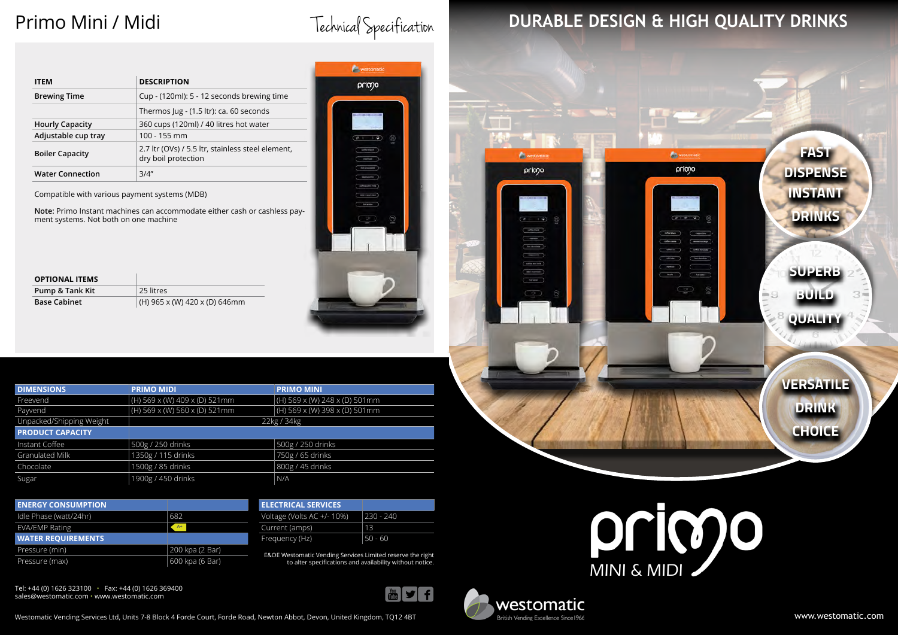Primo Mini / Midi<br>Technical Specification

westomatic

primo

# **DURABLE DESIGN & HIGH QUALITY DRINKS**

www.westomatic.com



Tel: +44 (0) 1626 323100 • Fax: +44 (0) 1626 369400 sales@westomatic.com • www.westomatic.com

Westomatic Vending Services Ltd, Units 7-8 Block 4 Forde Court, Forde Road, Newton Abbot, Devon, United Kingdom, TQ12 4BT

E&OE Westomatic Vending Services Limited reserve the right to alter specifications and availability without notice.





m.

primo

 $C = 1$ 

 $\overline{\phantom{a}}$  $(m)$ 

 $\overline{\phantom{0}}$ 

Concerned. Catalogue

| <b>DIMENSIONS</b>        | <b>PRIMO MIDI</b>               | <b>PRIMO MINI</b>               |
|--------------------------|---------------------------------|---------------------------------|
| Freevend                 | (H) 569 x (W) 409 x (D) 521mm   | (H) 569 x (W) 248 x (D) 501mm   |
| Payvend                  | $(H)$ 569 x (W) 560 x (D) 521mm | $(H)$ 569 x (W) 398 x (D) 501mm |
| Unpacked/Shipping Weight | 22kg / 34kg                     |                                 |
| <b>PRODUCT CAPACITY</b>  |                                 |                                 |
| Instant Coffee           | 500g / 250 drinks               | 500g / 250 drinks               |
| <b>Granulated Milk</b>   | 1350g / 115 drinks              | 750g / 65 drinks                |
| Chocolate                | 1500g / 85 drinks               | 800g / 45 drinks                |
| Sugar                    | 1900g / 450 drinks              | N/A                             |



| <b>ITEM</b>             | <b>DESCRIPTION</b>                                                       |  |
|-------------------------|--------------------------------------------------------------------------|--|
| <b>Brewing Time</b>     | Cup - (120ml): 5 - 12 seconds brewing time                               |  |
|                         | Thermos Jug - (1.5 ltr): ca. 60 seconds                                  |  |
| <b>Hourly Capacity</b>  | 360 cups (120ml) / 40 litres hot water                                   |  |
| Adjustable cup tray     | $100 - 155$ mm                                                           |  |
| <b>Boiler Capacity</b>  | 2.7 ltr (OVs) / 5.5 ltr, stainless steel element,<br>dry boil protection |  |
| <b>Water Connection</b> | 3/4"                                                                     |  |

Compatible with various payment systems (MDB)

**Note:** Primo Instant machines can accommodate either cash or cashless payment systems. Not both on one machine

| <b>ELECTRICAL SERVICES</b> |           |
|----------------------------|-----------|
| Voltage (Volts AC +/- 10%) | 230 - 240 |
| Current (amps)             | 13        |
| Frequency (Hz)             | 50 - 60   |

| <b>ENERGY CONSUMPTION</b> |                 |
|---------------------------|-----------------|
| Idle Phase (watt/24hr)    | 682             |
| <b>EVA/EMP Rating</b>     | $A+$            |
|                           |                 |
| <b>WATER REQUIREMENTS</b> |                 |
| Pressure (min)            | 200 kpa (2 Bar) |

| <b>OPTIONAL ITEMS</b> |                               |
|-----------------------|-------------------------------|
| Pump & Tank Kit       | 25 litres                     |
| <b>Base Cabinet</b>   | (H) 965 x (W) 420 x (D) 646mm |